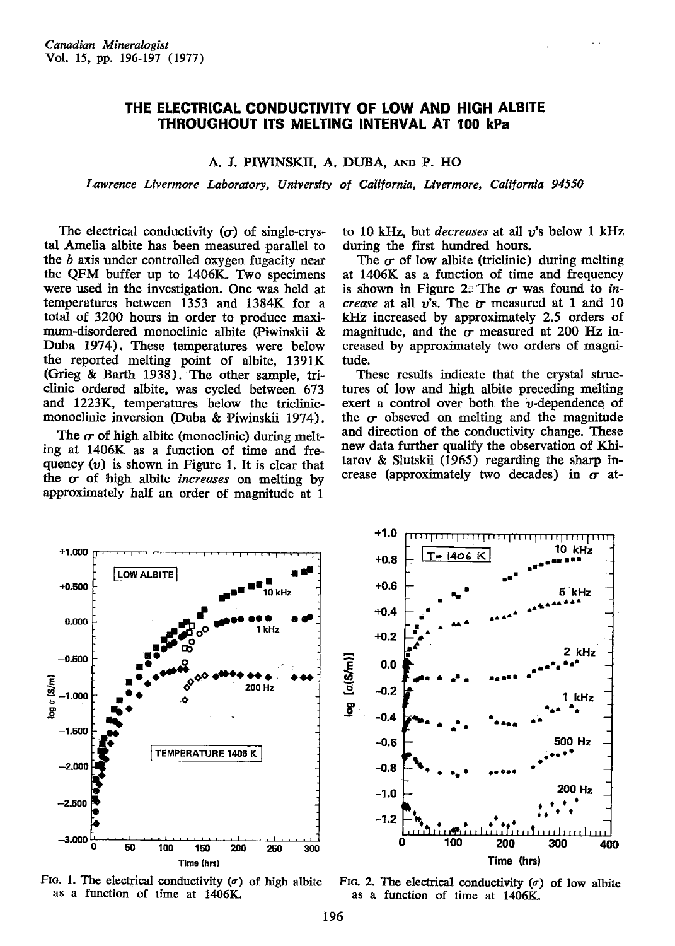## THE ELECTRICAL CONDUCTIVITY OF LOW AND HIGH ALBITE THROUGHOUT ITS MELTING INTERVAL AT 100 kPa

## A. J. PIWINSKII, A. DUBA, AND P. HO

Lawrence Livermore Laboratory, University of California, Livermore, California 94550

The electrical conductivity  $(\sigma)$  of single-crystal Amelia albite has been measured parallel to the  $b$  axis under controlled oxygen fugacity near the QFM buffer up to 1406K. Two specimens were used in the investigation. One was held at temperatures between 1353 and 1384K for a total of 320O hours in order to produce maximurndisordered monoclinic albite (Piwinskii & Duba 1974). These temperatures were below the reported melting point of albite, 1391K (Grieg & Barth 1938). The other sample, triclinic ordered albite, was cycled between 673 and. L223K, temperatures below the triclinicmonoclinic inversion (Duba & Piwinskii 1974).

The  $\sigma$  of high albite (monoclinic) during melting at 1406K as a function of time and frequency  $(v)$  is shown in Figure 1. It is clear that the  $\sigma$  of high albite *increases* on melting by approximately half an order of magnitude at 1

to 10 kHz, but *decreases* at all  $v$ 's below 1 kHz during the first hundred hours.

The  $\sigma$  of low albite (triclinic) during melting at l4O6K as a function of time and frequency is shown in Figure 2: The  $\sigma$  was found to increase at all  $v$ 's. The  $\sigma$  measured at 1 and 10  $kHz$  increased by approximately 2.5 orders of magnitude, and the  $\sigma$  measured at 200 Hz increased by approximately two orders of magnitude.

These results indicate that the crystal structures of low and high albite preceding melting exert a control over both the  $\nu$ -dependence of the  $\sigma$  obseved on melting and the magnitude and direction of the conductivity change. These new data further qualify the observation of Khitarov  $\&$  Slutskii (1965) regarding the sharp increase (approximately two decades) in  $\sigma$  at-



FIG. 1. The electrical conductivity  $(\sigma)$  of high albite as a function of time at 1406K.

FIG. 2. The electrical conductivity  $(\sigma)$  of low albite as a function of time at 1406K.